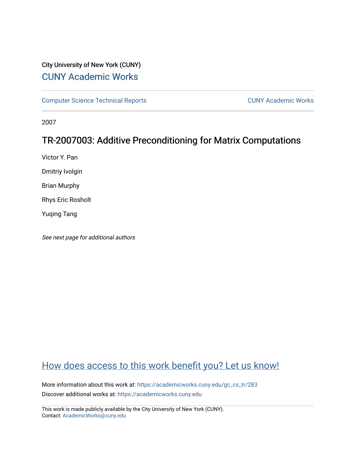# City University of New York (CUNY) [CUNY Academic Works](https://academicworks.cuny.edu/)

[Computer Science Technical Reports](https://academicworks.cuny.edu/gc_cs_tr) **CUNY Academic Works** CUNY Academic Works

2007

# TR-2007003: Additive Preconditioning for Matrix Computations

Victor Y. Pan

Dmitriy Ivolgin

Brian Murphy

Rhys Eric Rosholt

Yuqing Tang

See next page for additional authors

# [How does access to this work benefit you? Let us know!](http://ols.cuny.edu/academicworks/?ref=https://academicworks.cuny.edu/gc_cs_tr/283)

More information about this work at: [https://academicworks.cuny.edu/gc\\_cs\\_tr/283](https://academicworks.cuny.edu/gc_cs_tr/283)  Discover additional works at: [https://academicworks.cuny.edu](https://academicworks.cuny.edu/?)

This work is made publicly available by the City University of New York (CUNY). Contact: [AcademicWorks@cuny.edu](mailto:AcademicWorks@cuny.edu)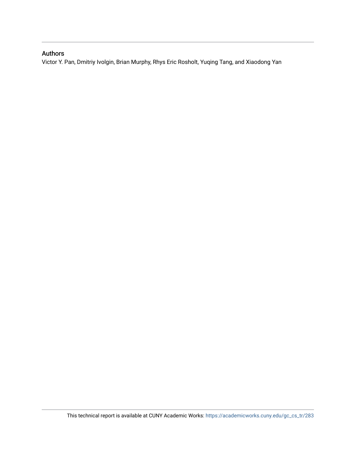# Authors

Victor Y. Pan, Dmitriy Ivolgin, Brian Murphy, Rhys Eric Rosholt, Yuqing Tang, and Xiaodong Yan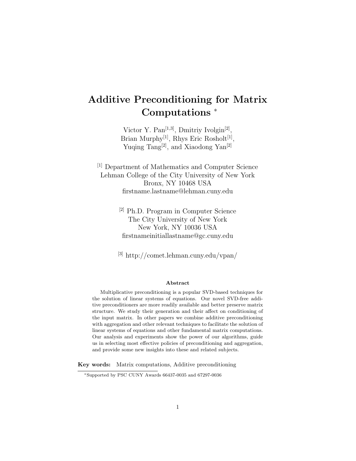# Additive Preconditioning for Matrix Computations <sup>∗</sup>

Victor Y. Pan<sup>[1,3]</sup>, Dmitriy Ivolgin<sup>[2]</sup>, Brian Murphy<sup>[1]</sup>, Rhys Eric Rosholt<sup>[1]</sup>, Yuqing Tang<sup>[2]</sup>, and Xiaodong Yan<sup>[2]</sup>

[1] Department of Mathematics and Computer Science Lehman College of the City University of New York Bronx, NY 10468 USA firstname.lastname@lehman.cuny.edu

> [2] Ph.D. Program in Computer Science The City University of New York New York, NY 10036 USA firstnameinitiallastname@gc.cuny.edu

[3] http://comet.lehman.cuny.edu/vpan/

#### Abstract

Multiplicative preconditioning is a popular SVD-based techniques for the solution of linear systems of equations. Our novel SVD-free additive preconditioners are more readily available and better preserve matrix structure. We study their generation and their affect on conditioning of the input matrix. In other papers we combine additive preconditioning with aggregation and other relevant techniques to facilitate the solution of linear systems of equations and other fundamental matrix computations. Our analysis and experiments show the power of our algorithms, guide us in selecting most effective policies of preconditioning and aggregation, and provide some new insights into these and related subjects.

Key words: Matrix computations, Additive preconditioning

<sup>∗</sup>Supported by PSC CUNY Awards 66437-0035 and 67297-0036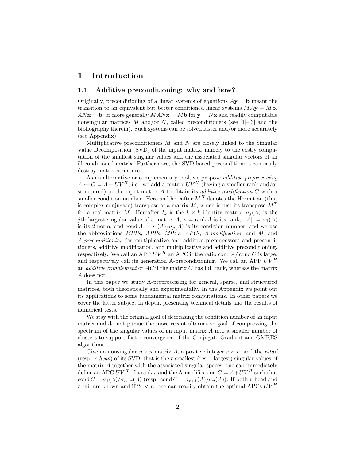# 1 Introduction

### 1.1 Additive preconditioning: why and how?

Originally, preconditioning of a linear systems of equations  $A**y** = **b**$  meant the transition to an equivalent but better conditioned linear systems  $M A y = M b$ ,  $ANx = b$ , or more generally  $MANx = Mb$  for  $y = Nx$  and readily computable nonsingular matrices M and/or N, called preconditioners (see  $[1]-[3]$  and the bibliography therein). Such systems can be solved faster and/or more accurately (see Appendix).

Multiplicative preconditioners  $M$  and  $N$  are closely linked to the Singular Value Decomposition (SVD) of the input matrix, namely to the costly computation of the smallest singular values and the associated singular vectors of an ill conditioned matrix. Furthermore, the SVD-based preconditioners can easily destroy matrix structure.

As an alternative or complementary tool, we propose *additive preprocessing*  $A \leftarrow C = A + UV^H$ , i.e., we add a matrix  $UV^H$  (having a smaller rank and/or structured) to the input matrix  $A$  to obtain its *additive modification*  $C$  with a smaller condition number. Here and hereafter  $M<sup>H</sup>$  denotes the Hermitian (that is complex conjugate) transpose of a matrix  $M$ , which is just its transpose  $M<sup>T</sup>$ for a real matrix M. Hereafter  $I_k$  is the  $k \times k$  identity matrix,  $\sigma_i(A)$  is the jth largest singular value of a matrix A,  $\rho = \text{rank } A$  is its rank,  $||A|| = \sigma_1(A)$ is its 2-norm, and cond  $A = \sigma_1(A)/\sigma_0(A)$  is its condition number, and we use the abbreviations MPPs, APPs, MPCs, APCs, A-modification, and M- and A-preconditioning for multiplicative and additive preprocessors and preconditioners, additive modification, and multiplicative and additive preconditioning, respectively. We call an APP  $UV^H$  an APC if the ratio cond  $A/\text{cond }C$  is large, and respectively call its generation A-preconditioning. We call an APP  $UV^H$ an *additive complement* or  $AC$  if the matrix  $C$  has full rank, whereas the matrix A does not.

In this paper we study A-preprocessing for general, sparse, and structured matrices, both theoretically and experimentally. In the Appendix we point out its applications to some fundamental matrix computations. In other papers we cover the latter subject in depth, presenting technical details and the results of numerical tests.

We stay with the original goal of decreasing the condition number of an input matrix and do not pursue the more recent alternative goal of compressing the spectrum of the singular values of an input matrix A into a smaller number of clusters to support faster convergence of the Conjugate Gradient and GMRES algorithms.

Given a nonsingular  $n \times n$  matrix A, a positive integer  $r < n$ , and the r-tail (resp. r-head) of its SVD, that is the r smallest (resp. largest) singular values of the matrix A together with the associated singular spaces, one can immediately define an APC  $UV^H$  of a rank r and the A-modification  $C = A + UV^H$  such that cond  $C = \sigma_1(A)/\sigma_{n-r}(A)$  (resp. cond  $C = \sigma_{r+1}(A)/\sigma_n(A)$ ). If both r-head and r-tail are known and if  $2r < n$ , one can readily obtain the optimal APCs  $UV^H$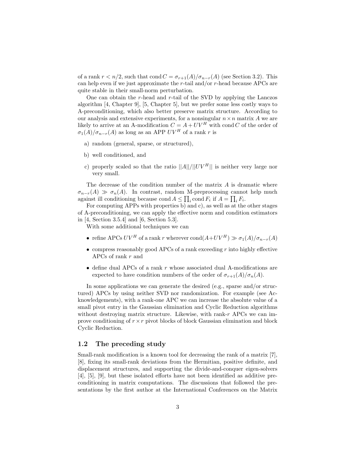of a rank  $r < n/2$ , such that cond  $C = \sigma_{r+1}(A)/\sigma_{n-r}(A)$  (see Section 3.2). This can help even if we just approximate the  $r$ -tail and/or  $r$ -head because APCs are quite stable in their small-norm perturbation.

One can obtain the  $r$ -head and  $r$ -tail of the SVD by applying the Lanczos algorithm [4, Chapter 9], [5, Chapter 5], but we prefer some less costly ways to A-preconditioning, which also better preserve matrix structure. According to our analysis and extensive experiments, for a nonsingular  $n \times n$  matrix A we are likely to arrive at an A-modification  $C = A + UV^H$  with cond C of the order of  $\sigma_1(A)/\sigma_{n-r}(A)$  as long as an APP  $UV^H$  of a rank r is

- a) random (general, sparse, or structured),
- b) well conditioned, and
- c) properly scaled so that the ratio  $||A||/||UV^H||$  is neither very large nor very small.

The decrease of the condition number of the matrix A is dramatic where  $\sigma_{n-r}(A) \gg \sigma_n(A)$ . In contrast, random M-preprocessing cannot help much against ill conditioning because cond  $A \leq \prod_i$  cond  $F_i$  if  $A = \prod_i F_i$ .

For computing APPs with properties b) and c), as well as at the other stages of A-preconditioning, we can apply the effective norm and condition estimators in [4, Section 3.5.4] and [6, Section 5.3].

With some additional techniques we can

- refine APCs  $UV^H$  of a rank r wherever  $\text{cond}(A+UV^H) \gg \sigma_1(A)/\sigma_{n-r}(A)$
- compress reasonably good APCs of a rank exceeding  $r$  into highly effective APCs of rank r and
- $\bullet$  define dual APCs of a rank r whose associated dual A-modifications are expected to have condition numbers of the order of  $\sigma_{r+1}(A)/\sigma_n(A)$ .

In some applications we can generate the desired (e.g., sparse and/or structured) APCs by using neither SVD nor randomization. For example (see Acknowledgements), with a rank-one APC we can increase the absolute value of a small pivot entry in the Gaussian elimination and Cyclic Reduction algorithms without destroying matrix structure. Likewise, with rank- $r$  APCs we can improve conditioning of  $r \times r$  pivot blocks of block Gaussian elimination and block Cyclic Reduction.

### 1.2 The preceding study

Small-rank modification is a known tool for decreasing the rank of a matrix [7], [8], fixing its small-rank deviations from the Hermitian, positive definite, and displacement structures, and supporting the divide-and-conquer eigen-solvers [4], [5], [9], but these isolated efforts have not been identified as additive preconditioning in matrix computations. The discussions that followed the presentations by the first author at the International Conferences on the Matrix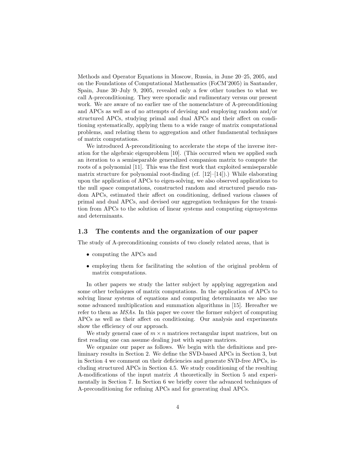Methods and Operator Equations in Moscow, Russia, in June 20–25, 2005, and on the Foundations of Computational Mathematics (FoCM'2005) in Santander, Spain, June 30–July 9, 2005, revealed only a few other touches to what we call A-preconditioning. They were sporadic and rudimentary versus our present work. We are aware of no earlier use of the nomenclature of A-preconditioning and APCs as well as of no attempts of devising and employing random and/or structured APCs, studying primal and dual APCs and their affect on conditioning systematically, applying them to a wide range of matrix computational problems, and relating them to aggregation and other fundamental techniques of matrix computations.

We introduced A-preconditioning to accelerate the steps of the inverse iteration for the algebraic eigenproblem [10]. (This occurred when we applied such an iteration to a semiseparable generalized companion matrix to compute the roots of a polynomial [11]. This was the first work that exploited semiseparable matrix structure for polynomial root-finding (cf.  $[12]-[14]$ ).) While elaborating upon the application of APCs to eigen-solving, we also observed applications to the null space computations, constructed random and structured pseudo random APCs, estimated their affect on conditioning, defined various classes of primal and dual APCs, and devised our aggregation techniques for the transition from APCs to the solution of linear systems and computing eigensystems and determinants.

## 1.3 The contents and the organization of our paper

The study of A-preconditioning consists of two closely related areas, that is

- computing the APCs and
- employing them for facilitating the solution of the original problem of matrix computations.

In other papers we study the latter subject by applying aggregation and some other techniques of matrix computations. In the application of APCs to solving linear systems of equations and computing determinants we also use some advanced multiplication and summation algorithms in [15]. Hereafter we refer to them as MSAs. In this paper we cover the former subject of computing APCs as well as their affect on conditioning. Our analysis and experiments show the efficiency of our approach.

We study general case of  $m \times n$  matrices rectangular input matrices, but on first reading one can assume dealing just with square matrices.

We organize our paper as follows. We begin with the definitions and preliminary results in Section 2. We define the SVD-based APCs in Section 3, but in Section 4 we comment on their deficiencies and generate SVD-free APCs, including structured APCs in Section 4.5. We study conditioning of the resulting A-modifications of the input matrix A theoretically in Section 5 and experimentally in Section 7. In Section 6 we briefly cover the advanced techniques of A-preconditioning for refining APCs and for generating dual APCs.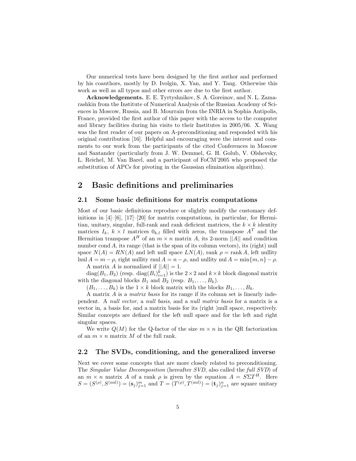Our numerical tests have been designed by the first author and performed by his coauthors, mostly by D. Ivolgin, X. Yan, and Y. Tang. Otherwise this work as well as all typos and other errors are due to the first author.

Acknowledgements. E. E. Tyrtyshnikov, S. A. Goreinov, and N. L. Zamarashkin from the Institute of Numerical Analysis of the Russian Academy of Sciences in Moscow, Russia, and B. Mourrain from the INRIA in Sophia Antipolis, France, provided the first author of this paper with the access to the computer and library facilities during his visits to their Institutes in 2005/06. X. Wang was the first reader of our papers on A-preconditioning and responded with his original contribution [16]. Helpful and encouraging were the interest and comments to our work from the participants of the cited Conferences in Moscow and Santander (particularly from J. W. Demmel, G. H. Golub, V. Olshevsky, L. Reichel, M. Van Barel, and a participant of FoCM'2005 who proposed the substitution of APCs for pivoting in the Gaussian elimination algorithm).

# 2 Basic definitions and preliminaries

## 2.1 Some basic definitions for matrix computations

Most of our basic definitions reproduce or slightly modify the customary definitions in  $[4]$ – $[6]$ ,  $[17]$ – $[20]$  for matrix computations, in particular, for Hermitian, unitary, singular, full-rank and rank deficient matrices, the  $k \times k$  identity matrices  $I_k$ ,  $k \times l$  matrices  $0_{k,l}$  filled with zeros, the transpose  $A<sup>T</sup>$  and the Hermitian transpose  $A^H$  of an  $m \times n$  matrix A, its 2-norm ||A|| and condition number cond A, its range (that is the span of its column vectors), its (right) null space  $N(A) = RN(A)$  and left null space  $LN(A)$ , rank  $\rho = \text{rank } A$ , left nullity lnul  $A = m - \rho$ , right nullity rnul  $A = n - \rho$ , and nullity nul  $A = \min\{m, n\} - \rho$ .

A matrix A is normalized if  $||A|| = 1$ .

 $diag(B_1, B_2)$  (resp.  $diag(B_i)_{i=1}^k$ ) is the  $2 \times 2$  and  $k \times k$  block diagonal matrix with the diagonal blocks  $B_1$  and  $B_2$  (resp.  $B_1, \ldots, B_k$ ).

 $(B_1, \ldots, B_k)$  is the  $1 \times k$  block matrix with the blocks  $B_1, \ldots, B_k$ .

A matrix A is a matrix basis for its range if its column set is linearly independent. A null vector, a null basis, and a null matrix basis for a matrix is a vector in, a basis for, and a matrix basis for its (right )null space, respectively. Similar concepts are defined for the left null space and for the left and right singular spaces.

We write  $Q(M)$  for the Q-factor of the size  $m \times n$  in the QR factorization of an  $m \times n$  matrix M of the full rank.

## 2.2 The SVDs, conditioning, and the generalized inverse

Next we cover some concepts that are more closely related to preconditioning. The Singular Value Decomposition (hereafter SVD, also called the full SVD) of an  $m \times n$  matrix A of a rank  $\rho$  is given by the equation  $A = S\Sigma T^H$ . Here  $S = (S^{(\rho)}, S^{(\text{nul})}) = (\mathbf{s}_j)_{j=1}^m$  and  $T = (T^{(\rho)}, T^{(\text{nul})}) = (\mathbf{t}_j)_{j=1}^n$  are square unitary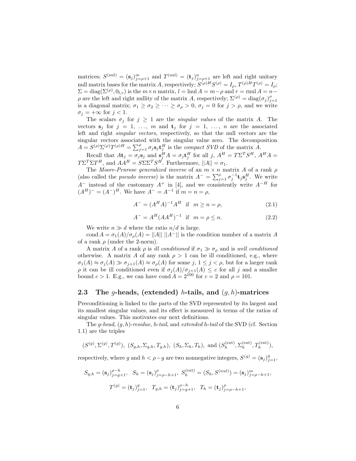matrices;  $S^{(nul)} = (\mathbf{s}_j)_{j=\rho+1}^m$  and  $T^{(nul)} = (\mathbf{t}_j)_{j=\rho+1}^n$  are left and right unitary null matrix bases for the matrix A, respectively;  $S^{(\rho)H}S^{(\rho)} = I_\rho$ ,  $T^{(\rho)H}T^{(\rho)} = I_\rho$ ;  $\Sigma = \text{diag}(\Sigma^{(\rho)}, 0_{l,r})$  is the  $m \times n$  matrix,  $l = \text{lnul } A = m - \rho$  and  $r = \text{lnul } A = n - \rho$  $\rho$  are the left and right nullity of the matrix A, respectively;  $\Sigma^{(\rho)} = \text{diag}(\sigma_j)_{j=1}^{\rho}$ is a diagonal matrix;  $\sigma_1 \geq \sigma_2 \geq \cdots \geq \sigma_\rho > 0$ ,  $\sigma_j = 0$  for  $j > \rho$ , and we write  $\sigma_j = +\infty$  for  $j < 1$ .

The scalars  $\sigma_j$  for  $j \geq 1$  are the *singular values* of the matrix A. The vectors  $s_j$  for  $j = 1, \ldots, m$  and  $t_j$  for  $j = 1, \ldots, n$  are the associated left and right singular vectors, respectively, so that the null vectors are the singular vectors associated with the singular value zero. The decomposition  $A = S^{(\rho)}\Sigma^{(\rho)}T^{(\rho)H} = \sum_{j=1}^{\rho} \sigma_j s_j \mathbf{t}_j^H$  is the *compact SVD* of the matrix  $\tilde{A}$ .

Recall that  $A\mathbf{t}_j = \sigma_j \mathbf{s}_j$  and  $\mathbf{s}_j^H A = \sigma_j \mathbf{t}_j^H$  for all  $j, A^H = T \Sigma^T S^H, A^H A =$  $T\Sigma^T \Sigma T^H$ , and  $AA^H = S\Sigma \Sigma^T S^H$ . Furthermore,  $||A|| = \sigma_1$ .

The Moore-Penrose generalized inverse of an  $m \times n$  matrix A of a rank  $\rho$ (also called the *pseudo inverse*) is the matrix  $A^{-} = \sum_{j=1}^{p} \sigma_j^{-1} \mathbf{t}_j \mathbf{s}_j^H$ . We write  $A^-$  instead of the customary  $A^+$  in [4], and we consistently write  $A^{-H}$  for  $(A^H)^- = (A^-)^H$ . We have  $A^- = A^{-1}$  if  $m = n = \rho$ ,

$$
A^{-} = (A^{H}A)^{-1}A^{H} \text{ if } m \ge n = \rho,
$$
 (2.1)

$$
A^{-} = A^{H} (AA^{H})^{-1} \text{ if } m = \rho \le n. \tag{2.2}
$$

We write  $n \gg d$  where the ratio  $n/d$  is large.

cond  $A = \sigma_1(A)/\sigma_\rho(A) = ||A|| \, ||A^-||$  is the condition number of a matrix A of a rank  $\rho$  (under the 2-norm).

A matrix A of a rank  $\rho$  is ill conditioned if  $\sigma_1 \gg \sigma_\rho$  and is well conditioned otherwise. A matrix A of any rank  $\rho > 1$  can be ill conditioned, e.g., where  $\sigma_1(A) \approx \sigma_j(A) \gg \sigma_{j+1}(A) \approx \sigma_{\rho}(A)$  for some  $j, 1 \leq j < \rho$ , but for a larger rank  $\rho$  it can be ill conditioned even if  $\sigma_j(A)/\sigma_{j+1}(A) \leq c$  for all j and a smaller bound  $c > 1$ . E.g., we can have cond  $A = 2^{100}$  for  $c = 2$  and  $\rho = 101$ .

## 2.3 The g-heads, (extended) h-tails, and  $(q, h)$ -matrices

Preconditioning is linked to the parts of the SVD represented by its largest and its smallest singular values, and its effect is measured in terms of the ratios of singular values. This motivates our next definitions.

The g-head,  $(q, h)$ -residue, h-tail, and extended h-tail of the SVD (cf. Section 1.1) are the triples

$$
(S^{(g)}, \Sigma^{(g)}, T^{(g)}), (S_{g,h}, \Sigma_{g,h}, T_{g,h}), (S_h, \Sigma_h, T_h), \text{ and } (S_h^{(ext)}, \Sigma_h^{(ext)}, T_h^{(ext)}),
$$

respectively, where g and  $h < \rho - g$  are two nonnegative integers,  $S^{(g)} = (\mathbf{s}_j)_{j=1}^g$ ,

$$
S_{g,h} = (\mathbf{s}_j)_{j=g+1}^{\rho-h}, \quad S_h = (\mathbf{s}_j)_{j=\rho-h+1}^{\rho}, \quad S_h^{(\text{ext})} = (S_h, S^{(nul)}) = (\mathbf{s}_j)_{j=\rho-h+1}^m,
$$

$$
T^{(g)} = (\mathbf{t}_j)_{j=1}^g, \quad T_{g,h} = (\mathbf{t}_j)_{j=g+1}^{\rho-h}, \quad T_h = (\mathbf{t}_j)_{j=\rho-h+1}^{\rho},
$$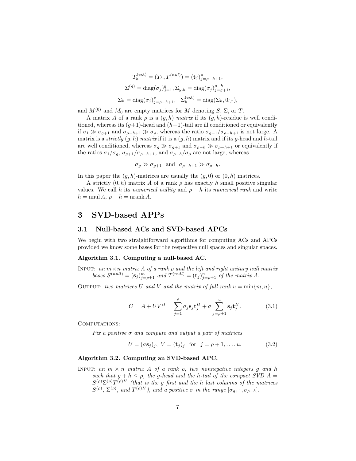$$
T_h^{(ext)} = (T_h, T^{(nul)}) = (\mathbf{t}_j)_{j=\rho-h+1}^n,
$$
  
\n
$$
\Sigma^{(g)} = \text{diag}(\sigma_j)_{j=1}^g, \Sigma_{g,h} = \text{diag}(\sigma_j)_{j=g+1}^{\rho-h},
$$
  
\n
$$
\Sigma_h = \text{diag}(\sigma_j)_{j=\rho-h+1}^{\rho}, \quad \Sigma_h^{(ext)} = \text{diag}(\Sigma_h, 0_{l,r}),
$$

and  $M^{(0)}$  and  $M_0$  are empty matrices for M denoting S,  $\Sigma$ , or T.

A matrix A of a rank  $\rho$  is a  $(q, h)$  matrix if its  $(q, h)$ -residue is well conditioned, whereas its  $(g+1)$ -head and  $(h+1)$ -tail are ill conditioned or equivalently if  $\sigma_1 \gg \sigma_{g+1}$  and  $\sigma_{\rho-h+1} \gg \sigma_{\rho}$ , whereas the ratio  $\sigma_{g+1}/\sigma_{\rho-h+1}$  is not large. A matrix is a strictly  $(g, h)$  matrix if it is a  $(g, h)$  matrix and if its g-head and h-tail are well conditioned, whereas  $\sigma_g \gg \sigma_{g+1}$  and  $\sigma_{\rho-h} \gg \sigma_{\rho-h+1}$  or equivalently if the ratios  $\sigma_1/\sigma_g$ ,  $\sigma_{g+1}/\sigma_{\rho-h+1}$ , and  $\sigma_{\rho-h}/\sigma_\rho$  are not large, whereas

 $\sigma_g \gg \sigma_{g+1}$  and  $\sigma_{\rho-h+1} \gg \sigma_{\rho-h}$ .

In this paper the  $(g, h)$ -matrices are usually the  $(g, 0)$  or  $(0, h)$  matrices.

A strictly  $(0, h)$  matrix A of a rank  $\rho$  has exactly h small positive singular values. We call h its numerical nullity and  $\rho - h$  its numerical rank and write  $h = \text{nnul } A, \rho - h = \text{nrank } A.$ 

## 3 SVD-based APPs

### 3.1 Null-based ACs and SVD-based APCs

We begin with two straightforward algorithms for computing ACs and APCs provided we know some bases for the respective null spaces and singular spaces.

#### Algorithm 3.1. Computing a null-based AC.

INPUT: an  $m \times n$  matrix A of a rank  $\rho$  and the left and right unitary null matrix bases  $S^{(null)} = (\mathbf{s}_j)_{j=\rho+1}^m$  and  $T^{(null)} = (\mathbf{t}_j)_{j=\rho+1}^n$  of the matrix A.

OUTPUT: two matrices U and V and the matrix of full rank  $u = \min\{m, n\}$ ,

$$
C = A + UV^H = \sum_{j=1}^{\rho} \sigma_j \mathbf{s}_j \mathbf{t}_j^H + \sigma \sum_{j=\rho+1}^{u} \mathbf{s}_j \mathbf{t}_j^H.
$$
 (3.1)

COMPUTATIONS:

Fix a positive  $\sigma$  and compute and output a pair of matrices

$$
U = (\sigma \mathbf{s}_j)_j, \ V = (\mathbf{t}_j)_j \quad \text{for} \quad j = \rho + 1, \dots, u. \tag{3.2}
$$

#### Algorithm 3.2. Computing an SVD-based APC.

INPUT: an  $m \times n$  matrix A of a rank  $\rho$ , two nonnegative integers q and h such that  $g + h \leq \rho$ , the g-head and the h-tail of the compact SVD  $A =$  $S^{(\rho)}\Sigma^{(\rho)}T^{(\rho)H}$  (that is the g first and the h last columns of the matrices  $S^{(\rho)}, \Sigma^{(\rho)},$  and  $T^{(\rho)H}$ ), and a positive  $\sigma$  in the range  $[\sigma_{g+1}, \sigma_{\rho-h}]$ .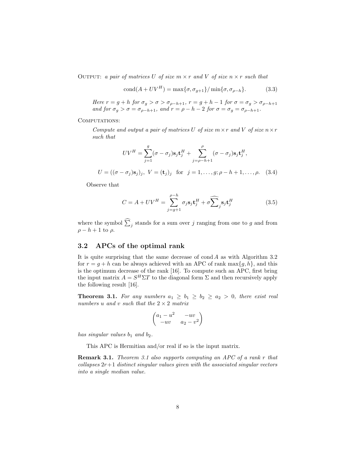OUTPUT: a pair of matrices U of size  $m \times r$  and V of size  $n \times r$  such that

$$
cond(A + UV^H) = \max\{\sigma, \sigma_{g+1}\}/\min\{\sigma, \sigma_{\rho-h}\}.
$$
 (3.3)

Here  $r = g + h$  for  $\sigma_g > \sigma > \sigma_{\rho-h+1}$ ,  $r = g + h - 1$  for  $\sigma = \sigma_g > \sigma_{\rho-h+1}$ and for  $\sigma_q > \sigma = \sigma_{\rho-h+1}$ , and  $r = \rho - h - 2$  for  $\sigma = \sigma_q = \sigma_{\rho-h+1}$ .

COMPUTATIONS:

Compute and output a pair of matrices U of size  $m \times r$  and V of size  $n \times r$ such that

$$
UV^H = \sum_{j=1}^g (\sigma - \sigma_j) \mathbf{s}_j \mathbf{t}_j^H + \sum_{j=\rho-h+1}^{\rho} (\sigma - \sigma_j) \mathbf{s}_j \mathbf{t}_j^H,
$$

 $U = ((\sigma - \sigma_j) \mathbf{s}_j)_j, \ V = (\mathbf{t}_j)_j \text{ for } j = 1, \dots, g; \rho - h + 1, \dots, \rho.$  (3.4)

Observe that

$$
C = A + UV^H = \sum_{j=g+1}^{\rho-h} \sigma_j \mathbf{s}_j \mathbf{t}_j^H + \sigma \widehat{\sum}_j \mathbf{s}_j \mathbf{t}_j^H
$$
 (3.5)

where the symbol  $\sum_j$  stands for a sum over j ranging from one to g and from  $\rho - h + 1$  to  $\rho$ .

## 3.2 APCs of the optimal rank

It is quite surprising that the same decrease of  $\text{cond } A$  as with Algorithm 3.2 for  $r = q + h$  can be always achieved with an APC of rank max $\{q, h\}$ , and this is the optimum decrease of the rank [16]. To compute such an APC, first bring the input matrix  $A = S^H \Sigma T$  to the diagonal form  $\Sigma$  and then recursively apply the following result [16].

**Theorem 3.1.** For any numbers  $a_1 \geq b_1 \geq b_2 \geq a_2 > 0$ , there exist real numbers u and v such that the  $2 \times 2$  matrix

$$
\begin{pmatrix} a_1 - u^2 & -uv \ -uv & a_2 - v^2 \end{pmatrix}
$$

has singular values  $b_1$  and  $b_2$ .

This APC is Hermitian and/or real if so is the input matrix.

Remark 3.1. Theorem 3.1 also supports computing an APC of a rank r that collapses  $2r+1$  distinct singular values given with the associated singular vectors into a single median value.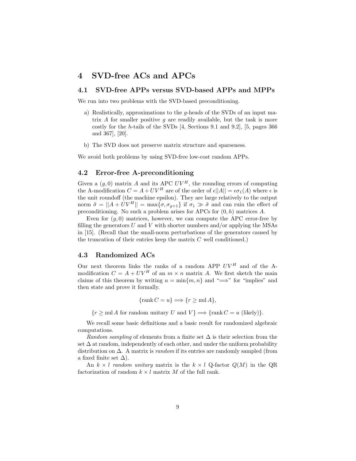## 4 SVD-free ACs and APCs

## 4.1 SVD-free APPs versus SVD-based APPs and MPPs

We run into two problems with the SVD-based preconditioning.

- a) Realistically, approximations to the g-heads of the SVDs of an input matrix A for smaller positive q are readily available, but the task is more costly for the h-tails of the SVDs [4, Sections 9.1 and 9.2], [5, pages 366 and 367], [20].
- b) The SVD does not preserve matrix structure and sparseness.

We avoid both problems by using SVD-free low-cost random APPs.

## 4.2 Error-free A-preconditioning

Given a  $(g, 0)$  matrix A and its APC  $UV^H$ , the rounding errors of computing the A-modification  $C = A + UV^H$  are of the order of  $\epsilon ||A|| = \epsilon \sigma_1(A)$  where  $\epsilon$  is the unit roundoff (the machine epsilon). They are large relatively to the output norm  $\tilde{\sigma} = ||A + UV^H|| = \max\{\sigma, \sigma_{g+1}\}\$ if  $\sigma_1 \gg \tilde{\sigma}$  and can ruin the effect of preconditioning. No such a problem arises for APCs for  $(0, h)$  matrices A.

Even for  $(q, 0)$  matrices, however, we can compute the APC error-free by filling the generators U and V with shorter numbers and/or applying the MSAs in [15]. (Recall that the small-norm perturbations of the generators caused by the truncation of their entries keep the matrix  $C$  well conditioned.)

### 4.3 Randomized ACs

Our next theorem links the ranks of a random APP  $UV^H$  and of the Amodification  $C = A + UV^H$  of an  $m \times n$  matrix A. We first sketch the main claims of this theorem by writing  $u = \min\{m, n\}$  and " $\implies$ " for "implies" and then state and prove it formally.

$$
\{\operatorname{rank} C = u\} \Longrightarrow \{r \ge \operatorname{null} A\},\
$$

 $\{r \geq \text{null } A \text{ for random unitary } U \text{ and } V\} \Longrightarrow \{\text{rank } C = u \text{ (likely)}\}.$ 

We recall some basic definitions and a basic result for randomized algebraic computations.

Random sampling of elements from a finite set  $\Delta$  is their selection from the set  $\Delta$  at random, independently of each other, and under the uniform probability distribution on  $\Delta$ . A matrix is *random* if its entries are randomly sampled (from a fixed finite set  $\Delta$ ).

An  $k \times l$  random unitary matrix is the  $k \times l$  Q-factor  $Q(M)$  in the QR factorization of random  $k \times l$  matrix M of the full rank.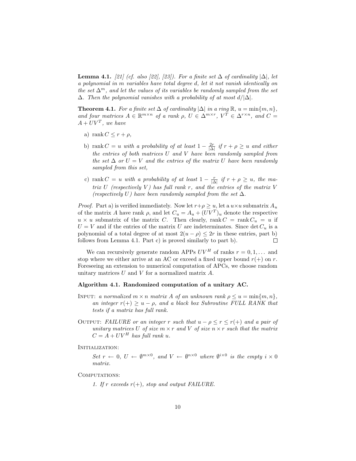**Lemma 4.1.** [21] (cf. also [22], [23]). For a finite set  $\Delta$  of cardinality  $|\Delta|$ , let a polynomial in m variables have total degree d, let it not vanish identically on the set  $\Delta^m$ , and let the values of its variables be randomly sampled from the set  $\Delta$ . Then the polynomial vanishes with a probability of at most  $d/|\Delta|$ .

**Theorem 4.1.** For a finite set  $\Delta$  of cardinality  $|\Delta|$  in a ring  $\mathbb{R}$ ,  $u = \min\{m, n\}$ , and four matrices  $A \in \mathbb{R}^{m \times n}$  of a rank  $\rho$ ,  $U \in \Delta^{m \times r}$ ,  $V^T \in \Delta^{r \times n}$ , and  $C =$  $A + UV^T$ , we have

- a) rank  $C \leq r + \rho$ ,
- b) rank  $C = u$  with a probability of at least  $1 \frac{2r}{|\Delta|}$  if  $r + \rho \geq u$  and either the entries of both matrices U and V have been randomly sampled from the set  $\Delta$  or  $U = V$  and the entries of the matrix U have been randomly sampled from this set,
- c) rank  $C = u$  with a probability of at least  $1 \frac{r}{|\Delta|}$  if  $r + \rho \geq u$ , the matrix  $U$  (respectively  $V$ ) has full rank r, and the entries of the matrix  $V$ (respectively U) have been randomly sampled from the set  $\Delta$ .

*Proof.* Part a) is verified immediately. Now let  $r+\rho \geq u$ , let a  $u \times u$  submatrix  $A_u$ of the matrix A have rank  $\rho$ , and let  $C_u = A_u + (UV^T)_u$  denote the respective  $u \times u$  submatrix of the matrix C. Then clearly, rank  $C = \text{rank } C_u = u$  if  $U = V$  and if the entries of the matrix U are indeterminates. Since det  $C_u$  is a polynomial of a total degree of at most  $2(u - \rho) \leq 2r$  in these entries, part b)<br>follows from Lemma 4.1 Part c) is proved similarly to part b) follows from Lemma 4.1. Part c) is proved similarly to part b).

We can recursively generate random APPs  $UV^H$  of ranks  $r = 0, 1, \ldots$  and stop where we either arrive at an AC or exceed a fixed upper bound  $r(+)$  on r. Foreseeing an extension to numerical computation of APCs, we choose random unitary matrices U and V for a normalized matrix A.

#### Algorithm 4.1. Randomized computation of a unitary AC.

- INPUT: a normalized  $m \times n$  matrix A of an unknown rank  $\rho \leq u = \min\{m, n\},\$ an integer  $r(+) \geq u - \rho$ , and a black box Subroutine FULL RANK that tests if a matrix has full rank.
- OUTPUT: FAILURE or an integer r such that  $u \rho \le r \le r(+)$  and a pair of unitary matrices U of size  $m \times r$  and V of size  $n \times r$  such that the matrix  $C = A + UV^H$  has full rank u.

INITIALIZATION:

Set  $r \leftarrow 0$ ,  $U \leftarrow \emptyset^{m \times 0}$ , and  $V \leftarrow \emptyset^{n \times 0}$  where  $\emptyset^{i \times 0}$  is the empty  $i \times 0$ matrix.

COMPUTATIONS:

1. If r exceeds  $r(+)$ , stop and output FAILURE.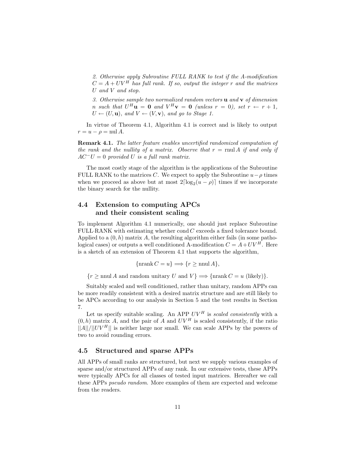2. Otherwise apply Subroutine FULL RANK to test if the A-modification  $C = A + UV^H$  has full rank. If so, output the integer r and the matrices U and V and stop.

3. Otherwise sample two normalized random vectors  $\bf{u}$  and  $\bf{v}$  of dimension *n* such that  $U^H$ **u** = **0** and  $V^H$ **v** = **0** (unless  $r = 0$ ), set  $r \leftarrow r + 1$ ,  $U \leftarrow (U, \mathbf{u})$ , and  $V \leftarrow (V, \mathbf{v})$ , and go to Stage 1.

In virtue of Theorem 4.1, Algorithm 4.1 is correct and is likely to output  $r = u - \rho = \text{null } A.$ 

Remark 4.1. The latter feature enables uncertified randomized computation of the rank and the nullity of a matrix. Observe that  $r = \text{rnu}$  A if and only if  $AC^-U = 0$  provided U is a full rank matrix.

The most costly stage of the algorithm is the applications of the Subroutine FULL RANK to the matrices C. We expect to apply the Subroutine  $u-\rho$  times when we proceed as above but at most  $2\lceil \log_2(u - \rho) \rceil$  times if we incorporate the binary search for the nullity.

## 4.4 Extension to computing APCs and their consistent scaling

To implement Algorithm 4.1 numerically, one should just replace Subroutine FULL RANK with estimating whether  $\text{cond } C$  exceeds a fixed tolerance bound. Applied to a  $(0, h)$  matrix A, the resulting algorithm either fails (in some pathological cases) or outputs a well conditioned A-modification  $C = A + UV^H$ . Here is a sketch of an extension of Theorem 4.1 that supports the algorithm,

 $\{\operatorname{nrank} C = u\} \Longrightarrow \{r > \operatorname{nnul} A\},\$ 

 ${r \geq \text{nnul } A \text{ and random unitary } U \text{ and } V} \implies \{\text{nrank } C = u \text{ (likely)}\}.$ 

Suitably scaled and well conditioned, rather than unitary, random APPs can be more readily consistent with a desired matrix structure and are still likely to be APCs according to our analysis in Section 5 and the test results in Section 7.

Let us specify suitable scaling. An APP  $UV^H$  is scaled consistently with a  $(0, h)$  matrix A, and the pair of A and  $UV^H$  is scaled consistently, if the ratio  $||A||/||UV^H||$  is neither large nor small. We can scale APPs by the powers of two to avoid rounding errors.

### 4.5 Structured and sparse APPs

All APPs of small ranks are structured, but next we supply various examples of sparse and/or structured APPs of any rank. In our extensive tests, these APPs were typically APCs for all classes of tested input matrices. Hereafter we call these APPs pseudo random. More examples of them are expected and welcome from the readers.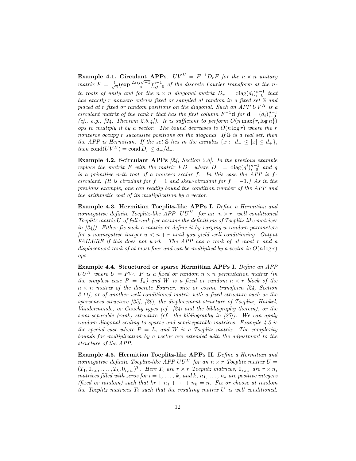**Example 4.1. Circulant APPs.**  $UV^H = F^{-1}D_rF$  for the  $n \times n$  unitary matrix  $F = \frac{1}{\sqrt{n}} (\exp{\frac{2\pi i j \sqrt{-1}}{n}})_{i,j=0}^{n-1}$  of the discrete Fourier transform at the nth roots of unity and for the  $n \times n$  diagonal matrix  $D_r = \text{diag}(d_i)_{i=0}^{n-1}$  that has exactly r nonzero entries fixed or sampled at random in a fixed set S and placed at r fixed or random positions on the diagonal. Such an APP  $UV^H$  is a circulant matrix of the rank r that has the first column  $F^{-1}$ **d** for **d** =  $(d_i)_{i=0}^{n-1}$ (cf., e.g., [24, Theorem 2.6.4]). It is sufficient to perform  $O(n \max\{r, \log n\})$ ops to multiply it by a vector. The bound decreases to  $O(n \log r)$  where the r nonzeros occupy r successive positions on the diagonal. If S is a real set, then the APP is Hermitian. If the set S lies in the annulus  $\{x: d_{-} \leq |x| \leq d_{+}\},\$ then  $\text{cond}(UV^H) = \text{cond} D_r \leq d_+/d_-$ .

**Example 4.2. f-circulant APPs** [24, Section 2.6]. In the previous example replace the matrix F with the matrix  $FD$ <sub>-</sub> where  $D$ <sub>-</sub> = diag $(g<sup>i</sup>)<sub>i=0</sub><sup>i-1</sup>$  and g is a primitive n-th root of a nonzero scalar f. In this case the APP is fcirculant. (It is circulant for  $f = 1$  and skew-circulant for  $f = -1$ .) As in the previous example, one can readily bound the condition number of the APP and the arithmetic cost of its multiplication by a vector.

Example 4.3. Hermitian Toeplitz-like APPs I. Define a Hermitian and nonnegative definite Toeplitz-like  $APP$   $UU^H$  for an  $n \times r$  well conditioned Toeplitz matrix U of full rank (we assume the definitions of Toeplitz-like matrices in [24]). Either fix such a matrix or define it by varying u random parameters for a nonnegative integer  $u < n + r$  until you yield well conditioning. Output FAILURE if this does not work. The APP has a rank of at most r and a displacement rank of at most four and can be multiplied by a vector in  $O(n \log r)$ ops.

Example 4.4. Structured or sparse Hermitian APPs I. Define an APP  $UU^H$  where  $U = PW$ ,  $P$  is a fixed or random  $n \times n$  permutation matrix (in the simplest case  $P = I_n$ ) and W is a fixed or random  $n \times r$  block of the  $n \times n$  matrix of the discrete Fourier, sine or cosine transform [24, Section 3.11], or of another well conditioned matrix with a fixed structure such as the sparseness structure [25], [26], the displacement structure of Toeplitz, Hankel, Vandermonde, or Cauchy types (cf. [24] and the bibliography therein), or the semi-separable (rank) structure (cf. the bibliography in [27]). We can apply random diagonal scaling to sparse and semiseparable matrices. Example 4.3 is the special case where  $P = I_n$  and W is a Toeplitz matrix. The complexity bounds for multiplication by a vector are extended with the adjustment to the structure of the APP.

Example 4.5. Hermitian Toeplitz-like APPs II. Define a Hermitian and nonnegative definite Toeplitz-like  $APP$  UU<sup>H</sup> for an  $n \times r$  Toeplitz matrix  $U =$  $(T_1, 0_{r,n_1}, \ldots, T_k, 0_{r,n_k})^T$ . Here  $T_i$  are  $r \times r$  Toeplitz matrices,  $0_{r,n_i}$  are  $r \times n_i$ matrices filled with zeros for  $i = 1, \ldots, k$ , and  $k, n_1, \ldots, n_k$  are positive integers (fixed or random) such that  $kr + n_1 + \cdots + n_k = n$ . Fix or choose at random the Toeplitz matrices  $T_i$  such that the resulting matrix U is well conditioned.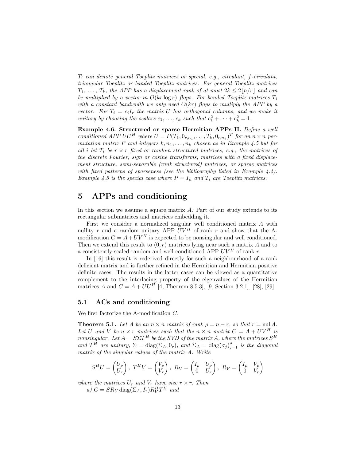$T_i$  can denote general Toeplitz matrices or special, e.g., circulant,  $f$ -circulant, triangular Toeplitz or banded Toeplitz matrices. For general Toeplitz matrices  $T_1, \ldots, T_k$ , the APP has a displacement rank of at most  $2k \leq 2\lfloor n/r \rfloor$  and can be multiplied by a vector in  $O(kr \log r)$  flops. For banded Toeplitz matrices  $T_i$ with a constant bandwidth we only need  $O(kr)$  flops to multiply the APP by a vector. For  $T_i = c_i I_r$  the matrix U has orthogonal columns, and we make it unitary by choosing the scalars  $c_1, \ldots, c_k$  such that  $c_1^2 + \cdots + c_k^2 = 1$ .

Example 4.6. Structured or sparse Hermitian APPs II. Define a well conditioned APP  $UU^H$  where  $U = P(T_1, 0_{r,n_1}, \ldots, T_k, 0_{r,n_k})^T$  for an  $n \times n$  permutation matrix P and integers  $k, n_1, \ldots, n_k$  chosen as in Example 4.5 but for all i let  $T_i$  be  $r \times r$  fixed or random structured matrices, e.g., the matrices of the discrete Fourier, sign or cosine transforms, matrices with a fixed displacement structure, semi-separable (rank structured) matrices, or sparse matrices with fixed patterns of sparseness (see the bibliography listed in Example  $4.4$ ). Example 4.5 is the special case where  $P = I_n$  and  $T_i$  are Toeplitz matrices.

# 5 APPs and conditioning

In this section we assume a square matrix A. Part of our study extends to its rectangular submatrices and matrices embedding it.

First we consider a normalized singular well conditioned matrix A with nullity r and a random unitary APP  $UV^H$  of rank r and show that the Amodification  $C = A + UV^H$  is expected to be nonsingular and well conditioned. Then we extend this result to  $(0, r)$  matrices lying near such a matrix A and to a consistently scaled random and well conditioned APP  $UV^H$  of rank r.

In [16] this result is rederived directly for such a neighbourhood of a rank deficient matrix and is further refined in the Hermitian and Hermitian positive definite cases. The results in the latter cases can be viewed as a quantitative complement to the interlacing property of the eigenvalues of the Hermitian matrices A and  $C = A + U U^H$  [4, Theorem 8.5.3], [9, Section 3.2.1], [28], [29].

## 5.1 ACs and conditioning

We first factorize the A-modification C.

**Theorem 5.1.** Let A be an  $n \times n$  matrix of rank  $\rho = n - r$ , so that  $r = \text{null } A$ . Let U and V be  $n \times r$  matrices such that the  $n \times n$  matrix  $C = A + UV^H$  is nonsingular. Let  $A = S\Sigma T^H$  be the SVD of the matrix A, where the matrices  $S^H$ and  $T^{\tilde{H}}$  are unitary,  $\Sigma = \text{diag}(\Sigma_A, 0_r)$ , and  $\Sigma_A = \text{diag}(\sigma_j)_{j=1}^{\rho}$  is the diagonal matrix of the singular values of the matrix A. Write

$$
S^{H}U = \begin{pmatrix} U_{\rho} \\ U_{r} \end{pmatrix}, T^{H}V = \begin{pmatrix} V_{\rho} \\ V_{r} \end{pmatrix}, R_{U} = \begin{pmatrix} I_{\rho} & U_{\rho} \\ 0 & U_{r} \end{pmatrix}, R_{V} = \begin{pmatrix} I_{\rho} & V_{\rho} \\ 0 & V_{r} \end{pmatrix}
$$

where the matrices  $U_r$  and  $V_r$  have size  $r \times r$ . Then

a)  $C = SR_U \text{ diag}(\Sigma_A, I_r) R_V^H T^H$  and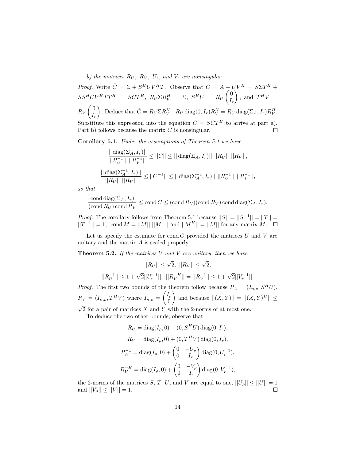b) the matrices  $R_U$ ,  $R_V$ ,  $U_r$ , and  $V_r$  are nonsingular.

*Proof.* Write  $\tilde{C} = \Sigma + S^H UV^H T$ . Observe that  $C = A + UV^H = S \Sigma T^H +$  $SS^HUV^HTT^H = S\tilde{C}T^H, R_U\Sigma R_V^H = \Sigma, S^HU = R_U\left(\frac{0}{L}\right)$  $\overline{ }$ , and  $T^H V =$  $I_r$  $\sqrt{0}$ ). Deduce that  $\tilde{C} = R_U \Sigma R_V^H + R_U \text{ diag}(0, I_r) R_V^H = R_U \text{ diag}(\Sigma_A, I_r) R_V^H$ .  $R_V$  $I_r$ Substitute this expression into the equation  $C = S\tilde{C}T^H$  to arrive at part a). Part b) follows because the matrix  $C$  is nonsingular. П

Corollary 5.1. Under the assumptions of Theorem 5.1 we have

$$
\frac{|\|\operatorname{diag}(\Sigma_A, I_r)||}{||R_U^{-1}|| \ ||R_V^{-1}||} \le ||C|| \le ||\operatorname{diag}(\Sigma_A, I_r)|| \ ||R_U|| \ ||R_V||,
$$
  

$$
\frac{|\|\operatorname{diag}(\Sigma_A^{-1}, I_r)||}{||R_U|| \ ||R_V||} \le ||C^{-1}|| \le ||\operatorname{diag}(\Sigma_A^{-1}, I_r)|| \ ||R_U^{-1}|| \ ||R_V^{-1}||,
$$

so that

$$
\frac{\operatorname{cond} \operatorname{diag}(\Sigma_A, I_r)}{(\operatorname{cond} R_U) \operatorname{cond} R_V} \le \operatorname{cond} C \le (\operatorname{cond} R_U)(\operatorname{cond} R_V) \operatorname{cond} \operatorname{diag} (\Sigma_A, I_r).
$$

*Proof.* The corollary follows from Theorem 5.1 because  $||S|| = ||S^{-1}|| = ||T|| =$  $||T^{-1}|| = 1$ , cond  $M = ||M|| ||M^{-}||$  and  $||M^{H}|| = ||M||$  for any matrix M.

Let us specify the estimate for cond  $C$  provided the matrices  $U$  and  $V$  are unitary and the matrix A is scaled properly.

**Theorem 5.2.** If the matrices  $U$  and  $V$  are unitary, then we have

$$
||R_U|| \le \sqrt{2}, ||R_V|| \le \sqrt{2},
$$
  

$$
||R_U^{-1}|| \le 1 + \sqrt{2}||U_r^{-1}||, ||R_V^{-H}|| = ||R_V^{-1}|| \le 1 + \sqrt{2}||V_r^{-1}||.
$$

*Proof.* The first two bounds of the theorem follow because  $R_U = (I_{n,\rho}, S^H U)$ ,  $R_V = (I_{n,\rho}, T^H V)$  where  $I_{n,\rho} = \begin{pmatrix} I_{\rho} \\ 0 \end{pmatrix}$  $\theta$  $\overline{ }$ and because  $||(X,Y)|| = ||(X,Y)^{H}|| \le$  $\sqrt{2}$  for a pair of matrices X and Y with the 2-norms of at most one.

To deduce the two other bounds, observe that

$$
R_U = \text{diag}(I_\rho, 0) + (0, S^H U) \text{ diag}(0, I_r),
$$
  
\n
$$
R_V = \text{diag}(I_\rho, 0) + (0, T^H V) \text{ diag}(0, I_r),
$$
  
\n
$$
R_U^{-1} = \text{diag}(I_\rho, 0) + \begin{pmatrix} 0 & -U_\rho \\ 0 & I_r \end{pmatrix} \text{diag}(0, U_r^{-1}),
$$
  
\n
$$
R_V^{-H} = \text{diag}(I_\rho, 0) + \begin{pmatrix} 0 & -V_\rho \\ 0 & I_r \end{pmatrix} \text{diag}(0, V_r^{-1}),
$$

the 2-norms of the matrices S, T, U, and V are equal to one,  $||U_{\rho}|| \le ||U|| = 1$ <br>and  $||V_{\rho}|| < ||V|| = 1$ . and  $||V_\rho|| \le ||V|| = 1$ .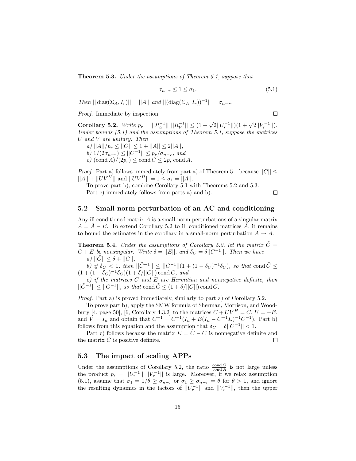Theorem 5.3. Under the assumptions of Theorem 5.1, suppose that

$$
\sigma_{n-r} \le 1 \le \sigma_1. \tag{5.1}
$$

Then  $|| \text{diag}(\Sigma_A, I_r)|| = ||A||$  and  $|| (\text{diag}(\Sigma_A, I_r))^{-1}|| = \sigma_{n-r}$ .

Proof. Immediate by inspection.

Corollary 5.2. Write  $p_r = ||R_U^{-1}|| \, ||R_V^{-1}|| \leq (1 + \sqrt{2}||U_r^{-1}||)(1 + \sqrt{2}||V_r^{-1}||)$ . Under bounds  $(5.1)$  and the assumptions of Theorem 5.1, suppose the matrices U and V are unitary. Then

a)  $||A||/p_r \leq ||C|| \leq 1 + ||A|| \leq 2||A||$ ,

b)  $1/(2\sigma_{n-r}) \leq ||C^{-1}|| \leq p_r/\sigma_{n-r},$  and

c)  $(\text{cond } A)/(2p_r) \le \text{cond } C \le 2p_r \text{ cond } A$ .

*Proof.* Part a) follows immediately from part a) of Theorem 5.1 because  $||C|| \le$  $||A|| + ||UV^H||$  and  $||UV^H|| = 1 \le \sigma_1 = ||A||.$ 

To prove part b), combine Corollary 5.1 with Theorems 5.2 and 5.3.

Part c) immediately follows from parts a) and b).

 $\Box$ 

 $\Box$ 

### 5.2 Small-norm perturbation of an AC and conditioning

Any ill conditioned matrix  $A$  is a small-norm perturbations of a singular matrix  $A = A - E$ . To extend Corollary 5.2 to ill conditioned matrices A, it remains to bound the estimates in the corollary in a small-norm perturbation  $A \to \tilde{A}$ .

**Theorem 5.4.** Under the assumptions of Corollary 5.2, let the matrix  $\hat{C} =$  $C + E$  be nonsingular. Write  $\delta = ||E||$ , and  $\delta_C = \delta ||C^{-1}||$ . Then we have a)  $||\tilde{C}|| \leq \delta + ||C||$ ,

b) if  $\delta_C < 1$ , then  $||\tilde{C}^{-1}|| \le ||C^{-1}|| (1 + (1 - \delta_C)^{-1} \delta_C)$ , so that cond  $\tilde{C} \le \delta_C$  $(1 + (1 - \delta_C)^{-1} \delta_C)(1 + \delta/||C||) \text{cond } C, \text{ and}$ 

 $c)$  if the matrices  $C$  and  $E$  are Hermitian and nonnegative definite, then  $||\tilde{C}^{-1}|| \le ||C^{-1}||$ , so that cond  $\tilde{C} \le (1 + \delta/||C||)$  cond C.

Proof. Part a) is proved immediately, similarly to part a) of Corollary 5.2.

To prove part b), apply the SMW formula of Sherman, Morrison, and Woodbury [4, page 50], [6, Corollary 4.3.2] to the matrices  $C + UV^H = \tilde{C}, U = -E$ , and  $V = I_n$  and obtain that  $\tilde{C}^{-1} = C^{-1}(I_n + E(I_n - C^{-1}E)^{-1}C^{-1})$ . Part b) follows from this equation and the assumption that  $\delta_C = \delta ||C^{-1}|| < 1$ .

Part c) follows because the matrix  $E = \tilde{C} - C$  is nonnegative definite and matrix C is positive definite. the matrix  $C$  is positive definite.

## 5.3 The impact of scaling APPs

Under the assumptions of Corollary 5.2, the ratio  $\frac{\text{cond } C}{\text{cond } A}$  is not large unless the product  $p_r = ||U_r^{-1}|| ||V_r^{-1}||$  is large. Moreover, if we relax assumption (5.1), assume that  $\sigma_1 = 1/\theta \ge \sigma_{n-r}$  or  $\sigma_1 \ge \sigma_{n-r} = \theta$  for  $\theta > 1$ , and ignore the resulting dynamics in the factors of  $||U_r^{-1}||$  and  $||V_r^{-1}||$ , then the upper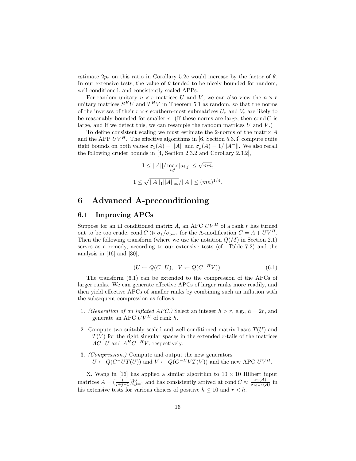estimate  $2p_r$  on this ratio in Corollary 5.2c would increase by the factor of  $\theta$ . In our extensive tests, the value of  $\theta$  tended to be nicely bounded for random, well conditioned, and consistently scaled APPs.

For random unitary  $n \times r$  matrices U and V, we can also view the  $n \times r$ unitary matrices  $S^H U$  and  $T^H V$  in Theorem 5.1 as random, so that the norms of the inverses of their  $r \times r$  southern-most submatrices  $U_r$  and  $V_r$  are likely to be reasonably bounded for smaller  $r$ . (If these norms are large, then cond  $C$  is large, and if we detect this, we can resample the random matrices  $U$  and  $V$ .)

To define consistent scaling we must estimate the 2-norms of the matrix A and the APP  $UV^H$ . The effective algorithms in [6, Section 5.3.3] compute quite tight bounds on both values  $\sigma_1(A) = ||A||$  and  $\sigma_\rho(A) = 1/||A^-||$ . We also recall the following cruder bounds in [4, Section 2.3.2 and Corollary 2.3.2],

$$
1 \le ||A|| / \max_{i,j} |a_{i,j}| \le \sqrt{mn},
$$
  

$$
1 \le \sqrt{||A||_1 ||A||_{\infty}} / ||A|| \le (mn)^{1/4}.
$$

## 6 Advanced A-preconditioning

## 6.1 Improving APCs

Suppose for an ill conditioned matrix A, an APC  $UV^H$  of a rank r has turned out to be too crude, cond  $C \gg \sigma_1/\sigma_{\rho-r}$  for the A-modification  $C = A + UV^H$ . Then the following transform (where we use the notation  $Q(M)$  in Section 2.1) serves as a remedy, according to our extensive tests (cf. Table 7.2) and the analysis in [16] and [30],

$$
(U \leftarrow Q(C^-U), \quad V \leftarrow Q(C^{-H}V)).\tag{6.1}
$$

The transform (6.1) can be extended to the compression of the APCs of larger ranks. We can generate effective APCs of larger ranks more readily, and then yield effective APCs of smaller ranks by combining such an inflation with the subsequent compression as follows.

- 1. (Generation of an inflated APC.) Select an integer  $h > r$ , e.g.,  $h = 2r$ , and generate an APC  $UV^H$  of rank h.
- 2. Compute two suitably scaled and well conditioned matrix bases  $T(U)$  and  $T(V)$  for the right singular spaces in the extended r-tails of the matrices  $AC^-U$  and  $A^HC^{-H}V$ , respectively.
- 3. (Compression.) Compute and output the new generators  $U \leftarrow Q(C^{-}UT(U))$  and  $V \leftarrow Q(C^{-H}VT(V))$  and the new APC  $UV^{H}$ .

X. Wang in [16] has applied a similar algorithm to  $10 \times 10$  Hilbert input matrices  $A = \left(\frac{1}{i+j-1}\right)_{i,j=1}^{10}$  and has consistently arrived at cond  $C \approx \frac{\sigma_1(A)}{\sigma_{10-h}(A)}$  $\frac{\sigma_1(A)}{\sigma_{10-h}(A)}$  in his extensive tests for various choices of positive  $h \leq 10$  and  $r < h$ .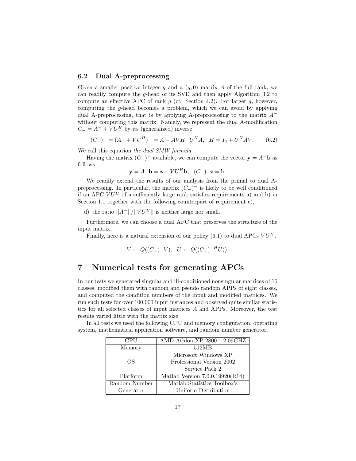## 6.2 Dual A-preprocessing

Given a smaller positive integer q and a  $(q, 0)$  matrix A of the full rank, we can readily compute the g-head of its SVD and then apply Algorithm 3.2 to compute an effective APC of rank  $g$  (cf. Section 4.2). For larger  $g$ , however, computing the g-head becomes a problem, which we can avoid by applying dual A-preprocessing, that is by applying A-preprocessing to the matrix  $A^$ without computing this matrix. Namely, we represent the dual A-modification  $C_{-} = A^{-} + VU^{H}$  by its (generalized) inverse

$$
(C_{-})^{-} = (A^{-} + VU^{H})^{-} = A - AVH^{-}U^{H}A, \quad H = I_{q} + U^{H}AV.
$$
 (6.2)

We call this equation the dual SMW formula.

Having the matrix  $(C_{-})^-$  available, we can compute the vector  $y = A^{-}b$  as follows,

$$
\mathbf{y} = A^- \mathbf{b} = \mathbf{z} - V U^H \mathbf{b}, \quad (C_-)^- \mathbf{z} = \mathbf{b}.
$$

We readily extend the results of our analysis from the primal to dual Apreprocessing. In particular, the matrix  $(C_{-})^{-}$  is likely to be well conditioned if an APC  $V U^H$  of a sufficiently large rank satisfies requirements a) and b) in Section 1.1 together with the following counterpart of requirement c),

d) the ratio  $||A^-||/||VU^H||$  is neither large nor small.

Furthermore, we can choose a dual APC that preserves the structure of the input matrix.

Finally, here is a natural extension of our policy  $(6.1)$  to dual APCs  $VU^H$ ,

$$
V \leftarrow Q((C_{-})^{-}V), \quad U \leftarrow Q((C_{-})^{-H}U)).
$$

## 7 Numerical tests for generating APCs

In our tests we generated singular and ill-conditioned nonsingular matrices of 16 classes, modified them with random and pseudo random APPs of eight classes, and computed the condition numbers of the input and modified matrices. We run such tests for over 100,000 input instances and observed quite similar statistics for all selected classes of input matrices A and APPs. Moreover, the test results varied little with the matrix size.

In all tests we used the following CPU and memory configuration, operating system, mathematical application software, and random number generator.

| CPU           | AMD Athlon XP 2800+ 2.09GHZ       |  |  |  |
|---------------|-----------------------------------|--|--|--|
| Memory        | 512MB                             |  |  |  |
|               | Microsoft Windows XP              |  |  |  |
| OS.           | Professional Version 2002         |  |  |  |
|               | Service Pack 2                    |  |  |  |
| Platform      | Matlab Version $7.0.0.19920(R14)$ |  |  |  |
| Random Number | Matlab Statistics Toolbox's       |  |  |  |
| Generator     | Uniform Distribution              |  |  |  |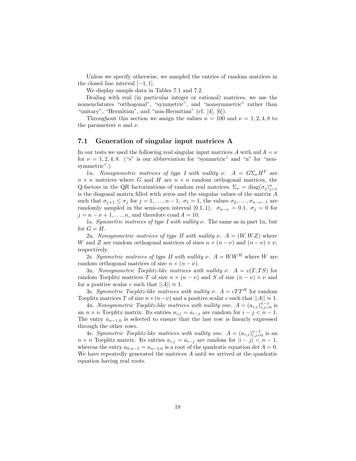Unless we specify otherwise, we sampled the entries of random matrices in the closed line interval  $[-1, 1]$ .

We display sample data in Tables 7.1 and 7.2.

Dealing with real (in particular integer or rational) matrices, we use the nomenclatures "orthogonal", "symmetric", and "nonsymmetric" rather than "unitary", "Hermitian", and "non-Hermitian" (cf. [4], [6]).

Throughout this section we assign the values  $n = 100$  and  $\nu = 1, 2, 4, 8$  to the parameters n and  $\nu$ .

## 7.1 Generation of singular input matrices A

In our tests we used the following real singular input matrices A with nul  $A = \nu$ for  $\nu = 1, 2, 4, 8$ . ("s" is our abbreviation for "symmetric" and "n" for "nonsymmetric".)

1n. Nonsymmetric matrices of type I with nullity  $\nu$ .  $A = G \Sigma_{\nu} H^{T}$  are  $n \times n$  matrices where G and H are  $n \times n$  random orthogonal matrices, the Q-factors in the QR factorizations of random real matrices;  $\Sigma_{\nu} = \text{diag}(\sigma_j)_{j=1}^n$ is the diagonal matrix filled with zeros and the singular values of the matrix  ${\cal A}$ such that  $\sigma_{j+1} \leq \sigma_j$  for  $j = 1, \ldots, n-1, \sigma_1 = 1$ , the values  $\sigma_2, \ldots, \sigma_{n-\nu-1}$  are randomly sampled in the semi-open interval [0.1, 1),  $\sigma_{n-\nu} = 0.1$ ,  $\sigma_j = 0$  for  $j = n - \nu + 1, \ldots, n$ , and therefore cond  $A = 10$ .

1s. Symmetric matrices of type I with nullity  $\nu$ . The same as in part 1n, but for  $G = H$ .

2n. Nonsymmetric matrices of type II with nullity  $\nu$ .  $A = (W, WZ)$  where W and Z are random orthogonal matrices of sizes  $n \times (n - \nu)$  and  $(n - \nu) \times \nu$ , respectively.

2s. Symmetric matrices of type II with nullity  $\nu$ .  $A = WW^H$  where W are random orthogonal matrices of size  $n \times (n - \nu)$ .

3n. Nonsymmetric Toeplitz-like matrices with nullity  $\nu$ .  $A = c(T, TS)$  for random Toeplitz matrices T of size  $n \times (n - \nu)$  and S of size  $(n - \nu) \times \nu$  and for a positive scalar c such that  $||A|| \approx 1$ .

3s. Symmetric Toeplitz-like matrices with nullity  $\nu$ .  $A = cTT^H$  for random Toeplitz matrices T of size  $n \times (n - \nu)$  and a positive scalar c such that  $||A|| \approx 1$ .

4n. Nonsymmetric Toeplitz-like matrices with nullity one.  $A = (a_{i,j})_{i,j=0}^{n-1}$  is an  $n \times n$  Toeplitz matrix. Its entries  $a_{i,j} = a_{i-j}$  are random for  $i - j < n - 1$ . The entry  $a_{n-1,0}$  is selected to ensure that the last row is linearly expressed through the other rows.

4s. Symmetric Toeplitz-like matrices with nullity one.  $A = (a_{i,j})_{i,j=0}^{n-1}$  is an  $n \times n$  Toeplitz matrix. Its entries  $a_{i,j} = a_{i-j}$  are random for  $|i - j| < n - 1$ , whereas the entry  $a_{0,n-1} = a_{n-1,0}$  is a root of the quadratic equation det  $A = 0$ . We have repeatedly generated the matrices A until we arrived at the quadratic equation having real roots.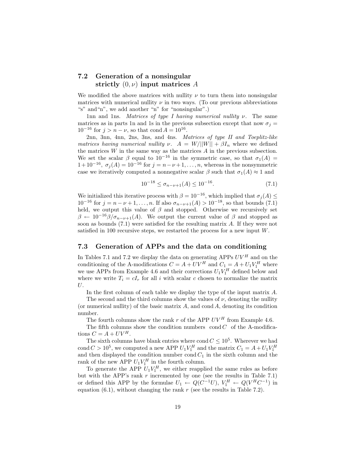## 7.2 Generation of a nonsingular strictly  $(0, \nu)$  input matrices A

We modified the above matrices with nullity  $\nu$  to turn them into nonsingular matrices with numerical nullity  $\nu$  in two ways. (To our previous abbreviations "s" and"n", we add another "n" for "nonsingular".)

1nn and 1ns. Matrices of type I having numerical nullity  $\nu$ . The same matrices as in parts 1n and 1s in the previous subsection except that now  $\sigma_j =$  $10^{-16}$  for  $j > n - \nu$ , so that cond  $A = 10^{16}$ .

2nn, 3nn, 4nn, 2ns, 3ns, and 4ns. Matrices of type II and Toeplitz-like matrices having numerical nullity  $\nu$ .  $A = W/||W|| + \beta I_n$  where we defined the matrices  $W$  in the same way as the matrices  $A$  in the previous subsection. We set the scalar  $\beta$  equal to 10<sup>-16</sup> in the symmetric case, so that  $\sigma_1(A)$  =  $1+10^{-16}$ ,  $\sigma_j(A) = 10^{-16}$  for  $j = n - \nu + 1, ..., n$ , whereas in the nonsymmetric case we iteratively computed a nonnegative scalar  $\beta$  such that  $\sigma_1(A) \approx 1$  and

$$
10^{-18} \le \sigma_{n-\nu+1}(A) \le 10^{-16}.\tag{7.1}
$$

We initialized this iterative process with  $\beta = 10^{-16}$ , which implied that  $\sigma_j(A) \leq$  $10^{-16}$  for  $j = n - \nu + 1, \ldots, n$ . If also  $\sigma_{n-\nu+1}(A) > 10^{-18}$ , so that bounds (7.1) held, we output this value of  $\beta$  and stopped. Otherwise we recursively set  $\beta \leftarrow 10^{-16} \beta / \sigma_{n-\nu+1}(A)$ . We output the current value of  $\beta$  and stopped as soon as bounds (7.1) were satisfied for the resulting matrix A. If they were not satisfied in 100 recursive steps, we restarted the process for a new input W.

## 7.3 Generation of APPs and the data on conditioning

In Tables 7.1 and 7.2 we display the data on generating APPs  $UV^H$  and on the conditioning of the A-modifications  $C = A + UV^H$  and  $C_1 = A + U_1 V_1^H$  where we use APPs from Example 4.6 and their corrections  $U_1 V_1^H$  defined below and where we write  $T_i = cI_r$  for all i with scalar c chosen to normalize the matrix U.

In the first column of each table we display the type of the input matrix A.

The second and the third columns show the values of  $\nu$ , denoting the nullity (or numerical nullity) of the basic matrix  $A$ , and cond  $A$ , denoting its condition number.

The fourth columns show the rank r of the APP  $UV^H$  from Example 4.6.

The fifth columns show the condition numbers  $\operatorname{cond} C$  of the A-modifications  $C = A + UV^H$ .

The sixth columns have blank entries where cond  $C \leq 10^5$ . Wherever we had cond  $C > 10^5$ , we computed a new APP  $U_1 V_1^H$  and the matrix  $C_1 = A + U_1 V_1^H$ and then displayed the condition number cond  $C_1$  in the sixth column and the rank of the new APP  $U_1 V_1^H$  in the fourth column.

To generate the APP  $U_1 V_1^H$ , we either reapplied the same rules as before but with the APP's rank  $r$  incremented by one (see the results in Table 7.1) or defined this APP by the formulae  $U_1 \leftarrow Q(C^{-1}U)$ ,  $V_1^H \leftarrow Q(V^HC^{-1})$  in equation  $(6.1)$ , without changing the rank r (see the results in Table 7.2).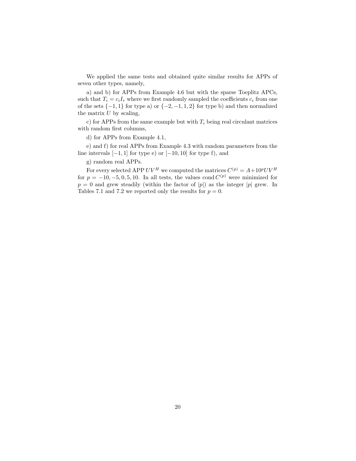We applied the same tests and obtained quite similar results for APPs of seven other types, namely,

a) and b) for APPs from Example 4.6 but with the sparse Toeplitz APCs, such that  $T_i = c_i I_r$  where we first randomly sampled the coefficients  $c_i$  from one of the sets  $\{-1, 1\}$  for type a) or  $\{-2, -1, 1, 2\}$  for type b) and then normalized the matrix  $U$  by scaling,

c) for APPs from the same example but with  $T_i$  being real circulant matrices with random first columns,

d) for APPs from Example 4.1,

e) and f) for real APPs from Example 4.3 with random parameters from the line intervals  $[-1, 1]$  for type e) or  $[-10, 10]$  for type f), and

g) random real APPs.

For every selected APP  $UV^H$  we computed the matrices  $C^{(p)} = A + 10^p UV^H$ for  $p = -10, -5, 0, 5, 10$ . In all tests, the values cond  $C^{(p)}$  were minimized for  $p = 0$  and grew steadily (within the factor of |p|) as the integer |p| grew. In Tables 7.1 and 7.2 we reported only the results for  $p = 0$ .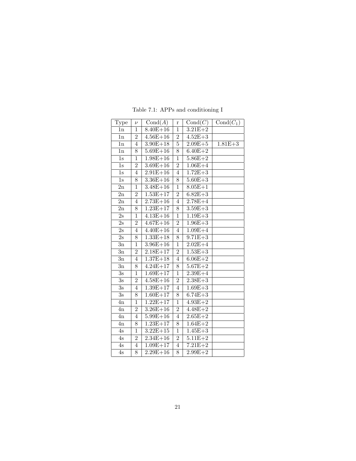| Type             | $\nu$          | Cond(A)               | r              | Cond(C)     | $Cond(C_1)$ |
|------------------|----------------|-----------------------|----------------|-------------|-------------|
| 1n               | $\mathbf 1$    | $8.40E + 16$          | $\overline{1}$ | $3.21E + 2$ |             |
| 1n               | $\overline{2}$ | $4.56E + 16$          | $\overline{2}$ | $4.52E + 3$ |             |
| 1n               | $\overline{4}$ | $3.90E + 18$          | $\overline{5}$ | $2.09E + 5$ | $1.81E + 3$ |
| 1n               | 8              | $\overline{5.69E+16}$ | 8              | $6.40E + 2$ |             |
| $1\mathrm{s}$    | $\mathbf{1}$   | $1.98E + 16$          | $\mathbf{1}$   | $5.86E + 2$ |             |
| 1s               | $\overline{2}$ | $3.69E + 16$          | $\overline{2}$ | $1.06E + 4$ |             |
| 1s               | $\overline{4}$ | $2.91E + 16$          | $\overline{4}$ | $1.72E + 3$ |             |
| $1s$             | 8              | $3.36E + 16$          | 8              | $5.60E + 3$ |             |
| 2n               | $\mathbf{1}$   | $3.48E + 16$          | $\overline{1}$ | $8.05E + 1$ |             |
| $_{\rm 2n}$      | $\overline{2}$ | $1.53E + 17$          | $\overline{2}$ | $6.82E + 3$ |             |
| 2n               | $\overline{4}$ | $2.73E + 16$          | $\overline{4}$ | $2.78E + 4$ |             |
| 2n               | 8              | $1.23E+17$            | 8              | $3.59E + 3$ |             |
| 2s               | $\mathbf 1$    | $4.13E + 16$          | $\mathbf 1$    | $1.19E + 3$ |             |
| 2s               | $\overline{2}$ | $4.67E + 16$          | $\overline{2}$ | $1.96E + 3$ |             |
| $\overline{2}$ s | 4              | $4.40E + 16$          | 4              | $1.09E + 4$ |             |
| 2s               | 8              | $1.33E + 18$          | 8              | $9.71E + 3$ |             |
| 3n               | $\mathbf 1$    | $3.96E + 16$          | $\mathbf 1$    | $2.02E + 4$ |             |
| 3n               | $\overline{2}$ | $2.18E + 17$          | $\overline{2}$ | $1.53E + 3$ |             |
| $_{\rm 3n}$      | 4              | $1.37E + 18$          | 4              | $6.06E + 2$ |             |
| 3n               | 8              | $4.24E+17$            | 8              | $5.67E + 2$ |             |
| $\overline{3s}$  | $\mathbf 1$    | $1.69E + 17$          | $\overline{1}$ | $2.39E + 4$ |             |
| 3s               | $\overline{2}$ | $4.58E + 16$          | $\overline{2}$ | $2.38E + 3$ |             |
| $\overline{3s}$  | 4              | $1.39E + 17$          | 4              | $1.69E + 3$ |             |
| $\overline{3s}$  | 8              | $1.60E + 17$          | 8              | $6.74E + 3$ |             |
| 4n               | $\overline{1}$ | $1.22E + 17$          | $\overline{1}$ | $4.93E + 2$ |             |
| 4n               | $\overline{2}$ | $3.26E + 16$          | $\overline{2}$ | $4.48E + 2$ |             |
| $_{\rm 4n}$      | 4              | $5.99E + 16$          | 4              | $2.65E + 2$ |             |
| 4n               | 8              | $1.23E + 17$          | 8              | $1.64E + 2$ |             |
| 4s               | $\overline{1}$ | $3.22E + 15$          | $\overline{1}$ | $1.45E + 3$ |             |
| $4\mathrm{s}$    | $\overline{2}$ | $2.34E + 16$          | $\overline{2}$ | $5.11E + 2$ |             |
| 4s               | $\overline{4}$ | $1.09E + 17$          | $\overline{4}$ | $7.21E + 2$ |             |
| $\overline{4s}$  | 8              | $2.29E + 16$          | 8              | $2.99E + 2$ |             |

Table 7.1: APPs and conditioning I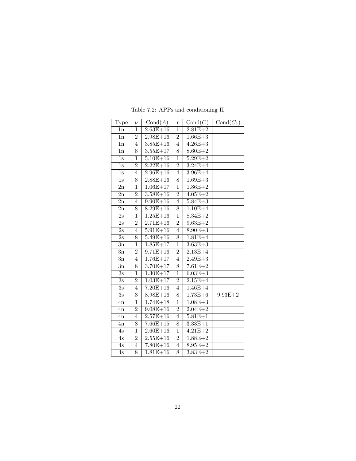| Type             | $\nu$          | $\overline{\textrm{Cond}(A)}$ | $\bf r$        | $\overline{\textrm{Cond}(C)}$ | $Cond(C_1)$ |
|------------------|----------------|-------------------------------|----------------|-------------------------------|-------------|
| 1n               | $\mathbf 1$    | $2.63E + 16$                  | $\mathbf{1}$   | $2.81E + 2$                   |             |
| $_{\rm 1n}$      | $\overline{2}$ | $2.98E + 16$                  | $\overline{2}$ | $1.66E + 3$                   |             |
| 1n               | $\overline{4}$ | $3.85E + 16$                  | $\overline{4}$ | $4.26E + 3$                   |             |
| 1n               | 8              | $3.55E + 17$                  | 8              | $8.60E + 2$                   |             |
| $1\mathrm{s}$    | $\mathbf 1$    | $\overline{5.10E} + 16$       | $\mathbf{1}$   | $5.29E + 2$                   |             |
| 1s               | $\overline{2}$ | $2.22E+16$                    | $\overline{2}$ | $3.24E + 4$                   |             |
| 1s               | 4              | $2.96E+16$                    | 4              | $3.96E + 4$                   |             |
| $1s$             | 8              | $2.88E + 16$                  | 8              | $1.69E + 3$                   |             |
| 2n               | $\mathbf 1$    | $1.06E + 17$                  | $\overline{1}$ | $1.86E + 2$                   |             |
| 2n               | $\overline{2}$ | $3.58E + 16$                  | $\overline{2}$ | $4.05E + 2$                   |             |
| $_{\rm 2n}$      | $\overline{4}$ | $9.90E + 16$                  | $\overline{4}$ | $5.84E + 3$                   |             |
| $\overline{2}n$  | 8              | $8.29E + 16$                  | 8              | $1.10E + 4$                   |             |
| 2s               | $\mathbf 1$    | $1.25E + 16$                  | $\overline{1}$ | $8.34E + 2$                   |             |
| 2s               | $\overline{2}$ | $2.71E + 16$                  | $\overline{2}$ | $9.63E + 2$                   |             |
| $\overline{2s}$  | 4              | $5.91E + 16$                  | 4              | $8.90E + 3$                   |             |
| 2s               | 8              | $5.49E + 16$                  | $\overline{8}$ | $1.81E + 4$                   |             |
| 3n               | $\overline{1}$ | $1.85E + 17$                  | $\overline{1}$ | $3.63E + 3$                   |             |
| 3n               | $\overline{2}$ | $9.71E + 16$                  | $\overline{2}$ | $2.13E + 4$                   |             |
| 3n               | 4              | $1.76E + 17$                  | 4              | $2.49E + 3$                   |             |
| $_{\rm 3n}$      | 8              | $3.70E + 17$                  | 8              | $7.61E + 2$                   |             |
| $\overline{3s}$  | $\overline{1}$ | $1.30E + 17$                  | $\overline{1}$ | $6.03E + 3$                   |             |
| 3s               | $\overline{2}$ | $1.03E + 17$                  | $\overline{2}$ | $2.15E+4$                     |             |
| 3s               | 4              | $7.20E + 16$                  | 4              | $1.46E+4$                     |             |
| $\overline{3} s$ | 8              | $8.98E + 16$                  | 8              | $1.73E + 6$                   | $9.93E + 2$ |
| 4n               | $\mathbf{1}$   | $1.74E + 18$                  | $\overline{1}$ | $1.08E + 3$                   |             |
| 4n               | $\overline{2}$ | $9.08E + 16$                  | $\overline{2}$ | $2.04E + 2$                   |             |
| 4n               | 4              | $2.57E + 16$                  | 4              | $5.81E + 1$                   |             |
| $_{\rm 4n}$      | 8              | $7.66E + 15$                  | 8              | $3.33E + 1$                   |             |
| 4s               | $\overline{1}$ | $2.60E + 16$                  | $\overline{1}$ | $4.21E + 2$                   |             |
| 4s               | $\overline{2}$ | $2.55E+16$                    | $\overline{2}$ | $1.88E+2$                     |             |
| 4s               | $\overline{4}$ | $7.80E + 16$                  | $\overline{4}$ | $8.95E + 2$                   |             |
| $\overline{4s}$  | 8              | $1.81E + 16$                  | 8              | $3.83E + 2$                   |             |

Table 7.2: APPs and conditioning II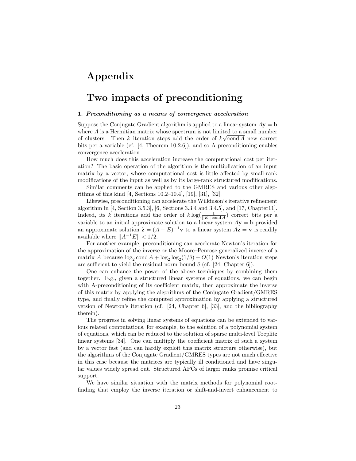# Appendix

# Two impacts of preconditioning

#### 1. Preconditioning as a means of convergence acceleration

Suppose the Conjugate Gradient algorithm is applied to a linear system  $A$ **y** = **b** where  $A$  is a Hermitian matrix whose spectrum is not limited to a small number of clusters. Then k iteration steps add the order of  $k\sqrt{\text{cond }A}$  new correct bits per a variable (cf. [4, Theorem 10.2.6]), and so A-preconditioning enables convergence acceleration.

How much does this acceleration increase the computational cost per iteration? The basic operation of the algorithm is the multiplication of an input matrix by a vector, whose computational cost is little affected by small-rank modifications of the input as well as by its large-rank structured modifications.

Similar comments can be applied to the GMRES and various other algorithms of this kind [4, Sections 10.2–10.4], [19], [31], [32].

Likewise, preconditioning can accelerate the Wilkinson's iterative refinement algorithm in [4, Section 3.5.3], [6, Sections 3.3.4 and 3.4.5], and [17, Chapter11]. Indeed, its k iterations add the order of  $k \log(\frac{1}{\|E\| \text{cond } A})$  correct bits per a variable to an initial approximate solution to a linear system  $A$ **y** = **b** provided an approximate solution  $\tilde{\mathbf{z}} = (A + E)^{-1} \mathbf{v}$  to a linear system  $A\mathbf{z} = \mathbf{v}$  is readily available where  $||A^{-1}E|| < 1/2$ .

For another example, preconditioning can accelerate Newton's iteration for the approximation of the inverse or the Moore–Penrose generalized inverse of a matrix A because  $\log_2 \text{cond } A + \log_2 \log_2(1/\delta) + O(1)$  Newton's iteration steps are sufficient to yield the residual norm bound  $\delta$  (cf. [24, Chapter 6]).

One can enhance the power of the above tecnhiques by combining them together. E.g., given a structured linear systems of equations, we can begin with A-preconditioning of its coefficient matrix, then approximate the inverse of this matrix by applying the algorithms of the Conjugate Gradient/GMRES type, and finally refine the computed approximation by applying a structured version of Newton's iteration (cf. [24, Chapter 6], [33], and the bibliography therein).

The progress in solving linear systems of equations can be extended to various related computations, for example, to the solution of a polynomial system of equations, which can be reduced to the solution of sparse multi-level Toeplitz linear systems [34]. One can multiply the coefficient matrix of such a system by a vector fast (and can hardly exploit this matrix structure otherwise), but the algorithms of the Conjugate Gradient/GMRES types are not much effective in this case because the matrices are typically ill conditioned and have singular values widely spread out. Structured APCs of larger ranks promise critical support.

We have similar situation with the matrix methods for polynomial rootfinding that employ the inverse iteration or shift-and-invert enhancement to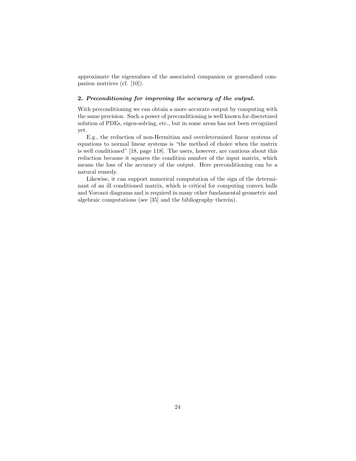approximate the eigenvalues of the associated companion or generalized companion matrices (cf. [10]).

#### 2. Preconditioning for improving the accuracy of the output.

With preconditioning we can obtain a more accurate output by computing with the same precision. Such a power of preconditioning is well known for discretized solution of PDEs, eigen-solving, etc., but in some areas has not been recognized yet.

E.g., the reduction of non-Hermitian and overdetermined linear systems of equations to normal linear systems is "the method of choice when the matrix is well conditioned" [18, page 118]. The users, however, are cautious about this reduction because it squares the condition number of the input matrix, which means the loss of the accuracy of the output. Here preconditioning can be a natural remedy.

Likewise, it can support numerical computation of the sign of the determinant of an ill conditioned matrix, which is critical for computing convex hulls and Voronoi diagrams and is required in many other fundamental geometric and algebraic computations (see [35] and the bibliography therein).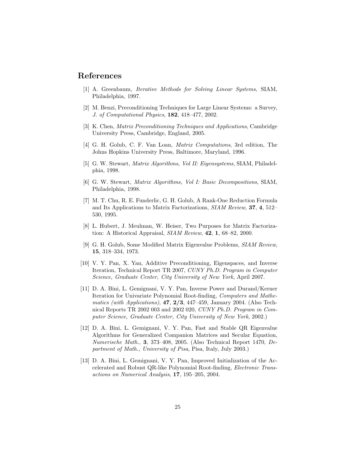## References

- [1] A. Greenbaum, Iterative Methods for Solving Linear Systems, SIAM, Philadelphia, 1997.
- [2] M. Benzi, Preconditioning Techniques for Large Linear Systems: a Survey, J. of Computational Physics, 182, 418–477, 2002.
- [3] K. Chen, Matrix Preconditioning Techniques and Applications, Cambridge University Press, Cambridge, England, 2005.
- [4] G. H. Golub, C. F. Van Loan, Matrix Computations, 3rd edition, The Johns Hopkins University Press, Baltimore, Maryland, 1996.
- [5] G. W. Stewart, Matrix Algorithms, Vol II: Eigensystems, SIAM, Philadelphia, 1998.
- [6] G. W. Stewart, Matrix Algorithms, Vol I: Basic Decompositions, SIAM, Philadelphia, 1998.
- [7] M. T. Chu, R. E. Funderlic, G. H. Golub, A Rank-One Reduction Formula and Its Applications to Matrix Factorizations, SIAM Review, 37, 4, 512– 530, 1995.
- [8] L. Hubert, J. Meulman, W. Heiser, Two Purposes for Matrix Factorization: A Historical Appraisal, SIAM Review, 42, 1, 68–82, 2000.
- [9] G. H. Golub, Some Modified Matrix Eigenvalue Problems, SIAM Review, 15, 318–334, 1973.
- [10] V. Y. Pan, X. Yan, Additive Preconditioning, Eigenspaces, and Inverse Iteration, Technical Report TR 2007, CUNY Ph.D. Program in Computer Science, Graduate Center, City University of New York, April 2007.
- [11] D. A. Bini, L. Gemignani, V. Y. Pan, Inverse Power and Durand/Kerner Iteration for Univariate Polynomial Root-finding, Computers and Mathematics (with Applications),  $47, 2/3, 447-459$ , January 2004. (Also Technical Reports TR 2002 003 and 2002 020, CUNY Ph.D. Program in Computer Science, Graduate Center, City University of New York, 2002.)
- [12] D. A. Bini, L. Gemignani, V. Y. Pan, Fast and Stable QR Eigenvalue Algorithms for Generalized Companion Matrices and Secular Equation, Numerische Math., 3, 373–408, 2005. (Also Technical Report 1470, Department of Math., University of Pisa, Pisa, Italy, July 2003.)
- [13] D. A. Bini, L. Gemignani, V. Y. Pan, Improved Initialization of the Accelerated and Robust QR-like Polynomial Root-finding, Electronic Transactions on Numerical Analysis, 17, 195–205, 2004.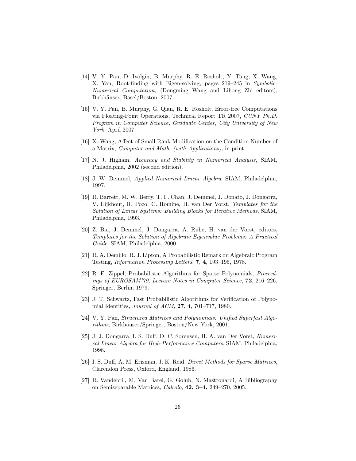- [14] V. Y. Pan, D. Ivolgin, B. Murphy, R. E. Rosholt, Y. Tang, X. Wang, X. Yan, Root-finding with Eigen-solving, pages 219–245 in Symbolic-Numerical Computation, (Dongming Wang and Lihong Zhi editors), Birkhäuser, Basel/Boston, 2007.
- [15] V. Y. Pan, B. Murphy, G. Qian, R. E. Rosholt, Error-free Computations via Floating-Point Operations, Technical Report TR 2007, CUNY Ph.D. Program in Computer Science, Graduate Center, City University of New York, April 2007.
- [16] X. Wang, Affect of Small Rank Modification on the Condition Number of a Matrix, Computer and Math. (with Applications), in print.
- [17] N. J. Higham, Accuracy and Stability in Numerical Analysis, SIAM, Philadelphia, 2002 (second edition).
- [18] J. W. Demmel, Applied Numerical Linear Algebra, SIAM, Philadelphia, 1997.
- [19] R. Barrett, M. W. Berry, T. F. Chan, J. Demmel, J. Donato, J. Dongarra, V. Eijkhout, R. Pozo, C. Romine, H. van Der Vorst, Templates for the Solution of Linear Systems: Building Blocks for Iterative Methods, SIAM, Philadelphia, 1993.
- [20] Z. Bai, J. Demmel, J. Dongarra, A. Ruhe, H. van der Vorst, editors, Templates for the Solution of Algebraic Eigenvalue Problems: A Practical Guide, SIAM, Philadelphia, 2000.
- [21] R. A. Demillo, R. J. Lipton, A Probabilistic Remark on Algebraic Program Testing, Information Processing Letters, 7, 4, 193–195, 1978.
- [22] R. E. Zippel, Probabilistic Algorithms for Sparse Polynomials, Proceedings of EUROSAM'79, Lecture Notes in Computer Science, 72, 216–226, Springer, Berlin, 1979.
- [23] J. T. Schwartz, Fast Probabilistic Algorithms for Verification of Polynomial Identities, Journal of ACM, 27, 4, 701–717, 1980.
- [24] V. Y. Pan, Structured Matrices and Polynomials: Unified Superfast Algorithms, Birkhäuser/Springer, Boston/New York, 2001.
- [25] J. J. Dongarra, I. S. Duff, D. C. Sorensen, H. A. van Der Vorst, Numerical Linear Algebra for High-Performance Computers, SIAM, Philadelphia, 1998.
- [26] I. S. Duff, A. M. Erisman, J. K. Reid, Direct Methods for Sparse Matrices, Clarendon Press, Oxford, England, 1986.
- [27] R. Vandebril, M. Van Barel, G. Golub, N. Mastronardi, A Bibliography on Semiseparable Matrices, Calcolo, 42, 3–4, 249–270, 2005.